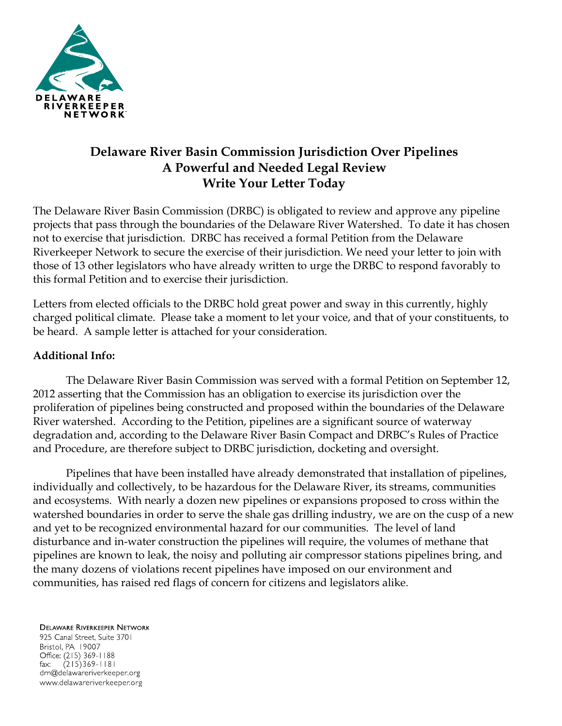

## **Delaware River Basin Commission Jurisdiction Over Pipelines A Powerful and Needed Legal Review Write Your Letter Today**

The Delaware River Basin Commission (DRBC) is obligated to review and approve any pipeline projects that pass through the boundaries of the Delaware River Watershed. To date it has chosen not to exercise that jurisdiction. DRBC has received a formal Petition from the Delaware Riverkeeper Network to secure the exercise of their jurisdiction. We need your letter to join with those of 13 other legislators who have already written to urge the DRBC to respond favorably to this formal Petition and to exercise their jurisdiction.

Letters from elected officials to the DRBC hold great power and sway in this currently, highly charged political climate. Please take a moment to let your voice, and that of your constituents, to be heard. A sample letter is attached for your consideration.

## **Additional Info:**

The Delaware River Basin Commission was served with a formal Petition on September 12, 2012 asserting that the Commission has an obligation to exercise its jurisdiction over the proliferation of pipelines being constructed and proposed within the boundaries of the Delaware River watershed. According to the Petition, pipelines are a significant source of waterway degradation and, according to the Delaware River Basin Compact and DRBC's Rules of Practice and Procedure, are therefore subject to DRBC jurisdiction, docketing and oversight.

Pipelines that have been installed have already demonstrated that installation of pipelines, individually and collectively, to be hazardous for the Delaware River, its streams, communities and ecosystems. With nearly a dozen new pipelines or expansions proposed to cross within the watershed boundaries in order to serve the shale gas drilling industry, we are on the cusp of a new and yet to be recognized environmental hazard for our communities. The level of land disturbance and in-water construction the pipelines will require, the volumes of methane that pipelines are known to leak, the noisy and polluting air compressor stations pipelines bring, and the many dozens of violations recent pipelines have imposed on our environment and communities, has raised red flags of concern for citizens and legislators alike.

## **DELAWARE RIVERKEEPER NETWORK** 925 Canal Street, Suite 3701

Bristol, PA 19007 Office: (215) 369-1188 fax:  $(215)369 - 1181$ drn@delawareriverkeeper.org www.delawareriverkeeper.org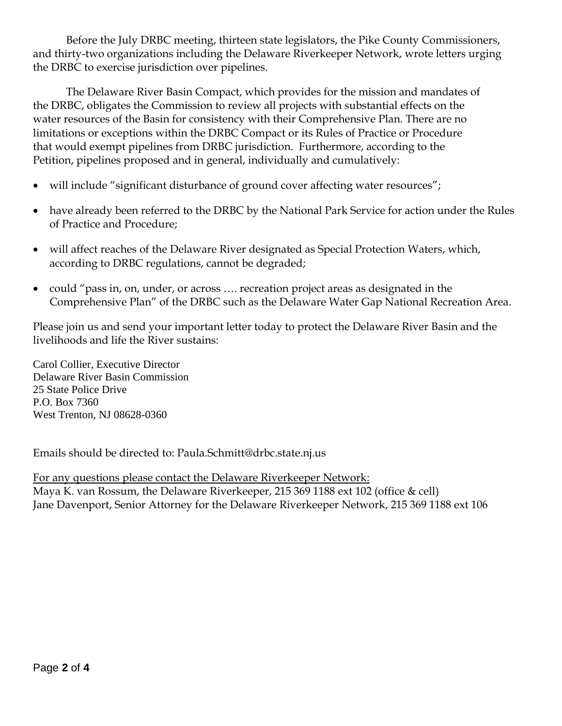Before the July DRBC meeting, thirteen state legislators, the Pike County Commissioners, and thirty-two organizations including the Delaware Riverkeeper Network, wrote letters urging the DRBC to exercise jurisdiction over pipelines.

The Delaware River Basin Compact, which provides for the mission and mandates of the DRBC, obligates the Commission to review all projects with substantial effects on the water resources of the Basin for consistency with their Comprehensive Plan. There are no limitations or exceptions within the DRBC Compact or its Rules of Practice or Procedure that would exempt pipelines from DRBC jurisdiction. Furthermore, according to the Petition, pipelines proposed and in general, individually and cumulatively:

- will include "significant disturbance of ground cover affecting water resources";
- have already been referred to the DRBC by the National Park Service for action under the Rules of Practice and Procedure;
- will affect reaches of the Delaware River designated as Special Protection Waters, which, according to DRBC regulations, cannot be degraded;
- could "pass in, on, under, or across .... recreation project areas as designated in the Comprehensive Plan" of the DRBC such as the Delaware Water Gap National Recreation Area.

Please join us and send your important letter today to protect the Delaware River Basin and the livelihoods and life the River sustains:

Carol Collier, Executive Director Delaware River Basin Commission 25 State Police Drive P.O. Box 7360 West Trenton, NJ 08628-0360

Emails should be directed to: Paula.Schmitt@drbc.state.nj.us

For any questions please contact the Delaware Riverkeeper Network: Maya K. van Rossum, the Delaware Riverkeeper, 215 369 1188 ext 102 (office & cell) Jane Davenport, Senior Attorney for the Delaware Riverkeeper Network, 215 369 1188 ext 106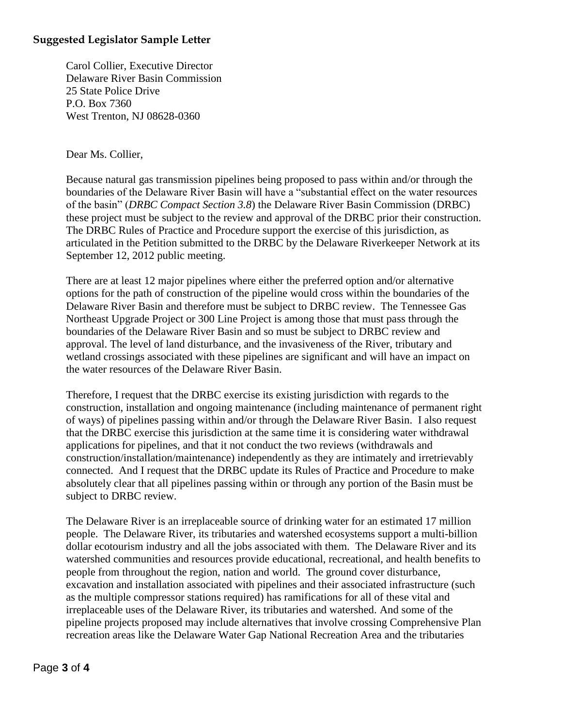## **Suggested Legislator Sample Letter**

Carol Collier, Executive Director Delaware River Basin Commission 25 State Police Drive P.O. Box 7360 West Trenton, NJ 08628-0360

Dear Ms. Collier,

Because natural gas transmission pipelines being proposed to pass within and/or through the boundaries of the Delaware River Basin will have a "substantial effect on the water resources of the basin" (*DRBC Compact Section 3.8*) the Delaware River Basin Commission (DRBC) these project must be subject to the review and approval of the DRBC prior their construction. The DRBC Rules of Practice and Procedure support the exercise of this jurisdiction, as articulated in the Petition submitted to the DRBC by the Delaware Riverkeeper Network at its September 12, 2012 public meeting.

There are at least 12 major pipelines where either the preferred option and/or alternative options for the path of construction of the pipeline would cross within the boundaries of the Delaware River Basin and therefore must be subject to DRBC review. The Tennessee Gas Northeast Upgrade Project or 300 Line Project is among those that must pass through the boundaries of the Delaware River Basin and so must be subject to DRBC review and approval. The level of land disturbance, and the invasiveness of the River, tributary and wetland crossings associated with these pipelines are significant and will have an impact on the water resources of the Delaware River Basin.

Therefore, I request that the DRBC exercise its existing jurisdiction with regards to the construction, installation and ongoing maintenance (including maintenance of permanent right of ways) of pipelines passing within and/or through the Delaware River Basin. I also request that the DRBC exercise this jurisdiction at the same time it is considering water withdrawal applications for pipelines, and that it not conduct the two reviews (withdrawals and construction/installation/maintenance) independently as they are intimately and irretrievably connected. And I request that the DRBC update its Rules of Practice and Procedure to make absolutely clear that all pipelines passing within or through any portion of the Basin must be subject to DRBC review.

The Delaware River is an irreplaceable source of drinking water for an estimated 17 million people. The Delaware River, its tributaries and watershed ecosystems support a multi-billion dollar ecotourism industry and all the jobs associated with them. The Delaware River and its watershed communities and resources provide educational, recreational, and health benefits to people from throughout the region, nation and world. The ground cover disturbance, excavation and installation associated with pipelines and their associated infrastructure (such as the multiple compressor stations required) has ramifications for all of these vital and irreplaceable uses of the Delaware River, its tributaries and watershed. And some of the pipeline projects proposed may include alternatives that involve crossing Comprehensive Plan recreation areas like the Delaware Water Gap National Recreation Area and the tributaries